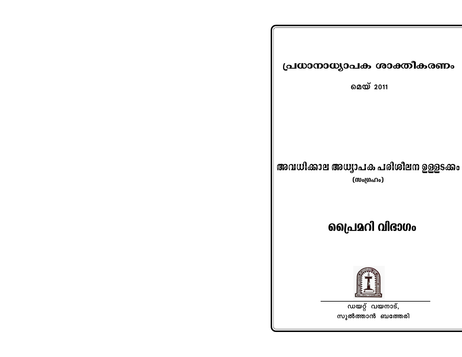## പ്രധാനാധ്യാപക ശാക്തീകരണം

മെയ് 2011

# അവധിക്കാല അധ്യാപക പരിശീലന ഉള്ളടക്കം

(സംഗ്രഹം)

# പ്രൈമറി വിഭാഗം



ന്ത് വയനാട്, സുൽത്താൻ ബത്തേരി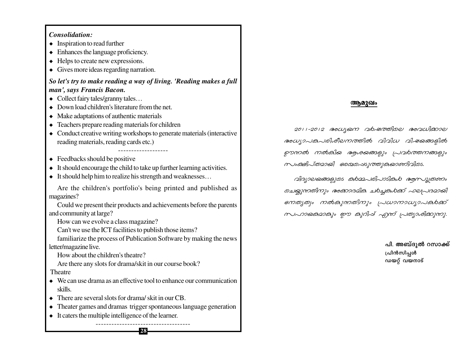### *Consolidation:*

- ¿ Inspiration to read further
- ¿ Enhances the language proficiency.
- ¿ Helps to create new expressions.
- ¿ Gives more ideas regarding narration.

### *So let's try to make reading a way of living. 'Reading makes a full man', says Francis Bacon.*

- ¿ Collect fairy tales/granny tales…
- ¿ Down load children's literature from the net.
- ¿ Make adaptations of authentic materials
- ¿ Teachers prepare reading materials for children
- ¿ Conduct creative writing workshops to generate materials (interactive reading materials, reading cards etc.)

-------------------

- $\triangleleft$  Feedbacks should be positive
- ¿ It should encourage the child to take up further learning activities.
- $\bullet$  It should help him to realize his strength and weaknesses...

Are the children's portfolio's being printed and published as magazines?

Could we present their products and achievements before the parents and community at large?

How can we evolve a class magazine?

Can't we use the ICT facilities to publish those items?

familiarize the process of Publication Software by making the news letter/magazine live.

How about the children's theatre?

Are there any slots for drama/skit in our course book?

### Theatre

- ¿ We can use drama as an effective tool to enhance our communication skills.
- $\bullet$  There are several slots for drama/ skit in our CB.
- ¿ Theater games and dramas trigger spontaneous language generation

**28**

-----------------------------------

 $\bullet$  It caters the multiple intelligence of the learner.

### **ആമുഖം**

*2011˛2012 A[yb\ h¿jØnse Ah[n°me*  $a_0$ *w*(2) and help matched algebra al-20 and also  $\rho$ ൗന*ൽ നൽകിയ ആശയങ്ങളും* പ്രവർത്തനങ്ങളും *kwa@}J@20@} s@@@~ds]@@}@@9@mf|@j@s.* 

*hn<sub>2</sub>joe@mas<sub>b</sub>ios abaa sNøp∂Xn\pw A°mZanI N¿®Iƒ°v ^e{]Zambn ton®s@po\_matazmalmzo |JwomowsoJaha*o *klmbamanani mp anda Ami Honogrami* 

> പി. അബ്ദുൽ റസാക്ക് **{]n≥kn∏ƒ** ഡയറ്റ് വയനാട്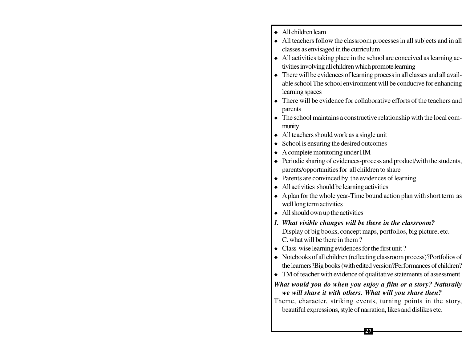- ¿ All children learn
- ¿ All teachers follow the classroom processes in all subjects and in all classes as envisaged in the curriculum
- ¿ All activities taking place in the school are conceived as learning activities involving all children which promote learning
- There will be evidences of learning process in all classes and all available school The school environment will be conducive for enhancing learning spaces
- ¿ There will be evidence for collaborative efforts of the teachers and parents
- ¿ The school maintains a constructive relationship with the local community
- ¿ All teachers should work as a single unit
- $\triangleleft$  School is ensuring the desired outcomes
- ¿ A complete monitoring under HM
- ¿ Periodic sharing of evidences-process and product/with the students, parents/opportunities for all children to share
- $\bullet$  Parents are convinced by the evidences of learning
- $\triangleleft$  All activities should be learning activities
- ¿ A plan for the whole year-Time bound action plan with short term as well long term activities
- $\triangleleft$  All should own up the activities
- *1. What visible changes will be there in the classroom?* Display of big books, concept maps, portfolios, big picture, etc. C. what will be there in them ?
- Class-wise learning evidences for the first unit?
- ¿ Notebooks of all children (reflecting classroom process)?Portfolios of the learners?Big books (with edited version?Performances of children?
- TM of teacher with evidence of qualitative statements of assessment

### *What would you do when you enjoy a film or a story? Naturally we will share it with others. What will you share then?*

Theme, character, striking events, turning points in the story, beautiful expressions, style of narration, likes and dislikes etc.

**27**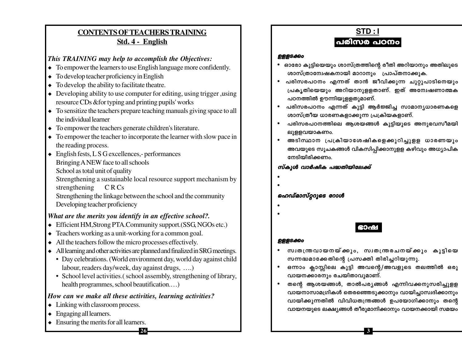### **CONTENTS OF TEACHERS TRAINING** Std. 4 - English

### This TRAINING may help to accomplish the Objectives:

- $\bullet$  To empower the learners to use English language more confidently.
- $\bullet$  To develop teacher proficiency in English
- $\bullet$  To develop the ability to facilitate theatre.
- $\bullet$  Developing ability to use computer for editing, using trigger, using resource CDs & for typing and printing pupils' works
- $\bullet$  To sensitize the teachers prepare teaching manuals giving space to all the individual learner
- $\bullet$  To empower the teachers generate children's literature.
- $\bullet$  To empower the teacher to incorporate the learner with slow pace in the reading process.
- $\bullet$  English fests, L S G excellences,- performances Bringing A NEW face to all schools School as total unit of quality Strengthening a sustainable local resource support mechanism by strengthening CRCs Strengthening the linkage between the school and the community

Developing teacher proficiency

### What are the merits you identify in an effective school?.

- Efficient HM, Strong PTA. Community support. (SSG, NGOs etc.)
- $\bullet$  Teachers working as a unit-working for a common goal.
- $\bullet$  All the teachers follow the micro processes effectively.
- All learning and other activities are planned and finalized in SRG meetings.
	- Day celebrations. (World environment day, world day against child labour, readers day/week, day against drugs, ....)
	- School level activities.(school assembly, strengthening of library, health programmes, school beautification....)

26

### How can we make all these activities, learning activities?

- $\bullet$  Linking with classroom process.
- $\triangle$  Engaging all learners.
- $\triangle$  Ensuring the merits for all learners.

STD:I പരിസര പഠനം

#### ഉള്ളടക്കം

- ഓരോ കുട്ടിയെയും ശാസ്ത്രത്തിന്റെ രീതി അറിയാനും അതിലൂടെ ശാസ്ത്രാന്വേഷകനായി മാറാനും പ്രാപ്തനാക്കുക.
- പരിസരപഠനം എന്നത് താൻ ജീവിക്കുന്ന ചുറ്റുപാടിനെയും പ്രകൃതിയെയും അറിയാനുള്ളതാണ്. ഇത് അന്വേഷണാത്മക പഠനത്തിൽ ഊന്നിയുള്ളതുമാണ്.
- പരിസരപഠനം എന്നത് കുട്ടി ആർജ്ജിച്ച സാമാനൃധാരണകളെ  $\bullet$ ശാസ്ത്രീയ ധാരണകളാക്കുന്ന പ്രക്രിയകളാണ്.
- പരിസരപഠനത്തിലെ ആശയങ്ങൾ കുട്ടിയുടെ അനുഭവസീമയി ലുളളവയാകണം.
- അടിസ്ഥാന പ്രക്രിയാശേഷികളെക്കുറിച്ചുളള ധാരണയും  $\bullet$ അവയുടെ സൂചകങ്ങൾ വികസിപ്പിക്കാനുളള കഴിവും അധ്യാപിക നേടിയിരിക്കണം.

### സ്കൂൾ വാർഷിക പദ്ധതിയിലേക്ക്

### ഹെഡ്മാസ്റ്ററുടെ റോൾ

- 
- 

#### **ഉള്ളടക്കം**

- സ്വതന്ത്രവായനയ്ക്കും, സ്വതന്ത്രരചനയ്ക്കും കുട്ടിയെ സന്നദ്ധമാക്കേതിന്റെ പ്രസക്തി തിരിച്ചറിയുന്നു.
- ഒന്നാം ക്ലാസ്സിലെ കുട്ടി അവന്റെ/അവളുടെ തലത്തിൽ ഒരു വായനക്കാരനും രചയിതാവുമാണ്.
- തന്റെ ആശയങ്ങൾ, താൽപര്യങ്ങൾ എന്നിവക്കനുസരിച്ചുളള വായനാസാമഗ്രികൾ തെരഞ്ഞെടുക്കാനും വായിച്ചാസ്വദിക്കാനും വായിക്കുന്നതിൽ വിവിധതന്ത്രങ്ങൾ ഉപയോഗിക്കാനും തന്റെ വായനയുടെ ലക്ഷ്യങ്ങൾ തീരുമാനിക്കാനും വായനക്കായി സമയം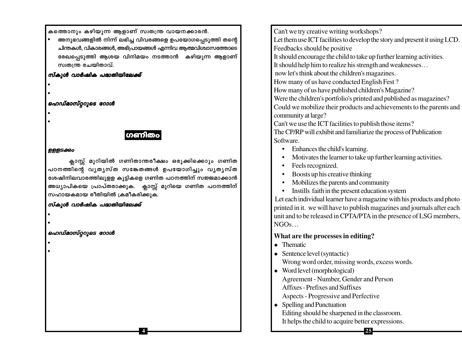കത്തൊനും കഴിയുന്ന ആളാണ് സ്വതന്ത്ര വായനക്കാരൻ.

ഭരനുഭവങ്ങളിൽ നിന്ന് ലഭിച്ച വിവരങ്ങളെ ഉപയോഗപ്പെടുത്തി തന്റെ ചിന്തകൾ, വികാരങ്ങൾ, അഭിപ്രായങ്ങൾ എന്നിവ ആത്മവിശ്വാസത്തോടെ രേഖപ്പെടുത്തി ആശയ വിനിമയം നടത്താൻ കഴിയുന്ന ആളാണ് സ്വതന്ത്ര രചയിതാവ്.

#### സ്കൂൾ വാർഷിക പദ്ധതിയിലേക്ക്

- •
- •

### ഹെഡ്മാസ്റ്ററുടെ റോൾ

- •
- •

### ഗണിത

#### **DBBS&Qo**

ക്ലാസ്സ് മുറിയിൽ ഗണിതാന്തരീക്ഷം ഒരുക്കിക്കൊും ഗണിത പഠനത്തിന്റെ വൃതൃസ്ത സങ്കേതങ്ങൾ ഉപയോഗിച്ചും വൃതൃസ്ത ശേഷിനിലവാരത്തിലുളള കുട്ടികളെ ഗണിത പഠനത്തിന് സജ്ജമാക്കാൻ അധ്യാപികയെ പ്രാപ്തരാക്കുക. ക്ലാസ്സ് മുറിയെ ഗണിത പഠനത്തിന് സഹായകമായ രീതിയിൽ ക്രമീകരിക്കുക.

**4**

### സ്കൂൾ വാർഷിക പദ്ധതിയിലേക്ക്

•

•

### ഹെഡ്മാസ്റ്ററുടെ റോൾ

•

•

Can't we try creative writing workshops?

Let them use ICT facilities to develop the story and present it using LCD. Feedbacks should be positive

It should encourage the child to take up further learning activities.

It should help him to realize his strength and weaknesses…

now let's think about the children's magazines.

How many of us have conducted English Fest ?

How many of us have published children's Magazine?

Were the children's portfolio's printed and published as magazines?

Could we mobilize their products and achievements to the parents and community at large?

Can't we use the ICT facilities to publish those items? The CP/RP will exhibit and familiarize the process of Publication Software.

- Enhances the child's learning.
- Motivates the learner to take up further learning activities.
- Feels recognized.
- Boosts up his creative thinking
- Mobilizes the parents and community
- Instills faith in the present education system

 Let each individual learner have a magazine with his products and photo printed in it. we will have to publish magazines and journals after each unit and to be released in CPTA/PTA in the presence of LSG members, NGOs…

**25**

### **What are the processes in editing?**

- ¿ Thematic
- $\triangleleft$  Sentence level (syntactic) Wrong word order, missing words, excess words.
- ¿ Word level (morphological) Agreement - Number, Gender and Person Affixes - Prefixes and Suffixes Aspects - Progressive and Perfective
- $\leftrightarrow$  Spelling and Punctuation Editing should be sharpened in the classroom. It helps the child to acquire better expressions.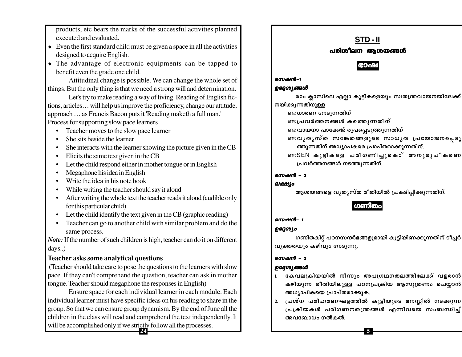products, etc bears the marks of the successful activities planned executed and evaluated.

- $\bullet$  Even the first standard child must be given a space in all the activities designed to acquire English.
- The advantage of electronic equipments can be tapped to benefit even the grade one child.

Attitudinal change is possible. We can change the whole set of things. But the only thing is that we need a strong will and determination.

Let's try to make reading a way of living. Reading of English fictions, articles... will help us improve the proficiency, change our attitude, approach ... as Francis Bacon puts it 'Reading maketh a full man.' Process for supporting slow pace learners

- Teacher moves to the slow pace learner
- She sits beside the learner
- She interacts with the learner showing the picture given in the CB
- $\bullet$  Elicits the same text given in the CB
- Let the child respond either in mother tongue or in English
- $\bullet$  Megaphone his idea in English
- $\bullet$  Write the idea in his note book
- While writing the teacher should say it aloud
- After writing the whole text the teacher reads it aloud (audible only for this particular child)
- Let the child identify the text given in the CB (graphic reading)
- Teacher can go to another child with similar problem and do the same process.

Note: If the number of such children is high, teacher can do it on different days..)

### **Teacher asks some analytical questions**

(Teacher should take care to pose the questions to the learners with slow pace. If they can't comprehend the question, teacher can ask in mother tongue. Teacher should megaphone the responses in English)

Ensure space for each individual learner in each module. Each individual learner must have specific ideas on his reading to share in the group. So that we can ensure group dynamism. By the end of June all the children in the class will read and comprehend the text independently. It will be accomplished only if we strictly follow all the processes.



ആശയങ്ങളെ വ്യതൃസ്ത രീതിയിൽ പ്രകടിപ്പിക്കുന്നതിന്.

### സെഷൻ– 1

സെഷൻ–1

### ഉദ്ദേശ്യം

ലക്ഷ്യം

ഗണിതകിറ്റ് പഠനസന്ദർഭങ്ങളുമായി കൂട്ടിയിണക്കുന്നതിന് ടീച്ചർ വ്യക്തതയും കഴിവും നേടുന്നു.

### സെഷൻ – 2

### ഉദ്ദേശ്യങ്ങൾ

- കേവലക്രിയയിൽ നിന്നും അപഗ്രഥനതലത്തിലേക്ക് വളരാൻ കഴിയുന്ന രീതിയിലുള്ള പഠനപ്രക്രിയ ആസുത്രണം ചെയ്യാൻ അധ്യാപികയെ പ്രാപ്തരാക്കുക.
- പ്രശ്ന പരിഹരണഘട്ടത്തിൽ കുട്ടിയുടെ മനസ്സിൽ നടക്കുന്ന  $2.$ പ്രക്രിയകൾ പരിഗണനതന്ത്രങ്ങൾ എന്നിവയെ സംബന്ധിച്ച് അവബോധം നൽകൽ.

5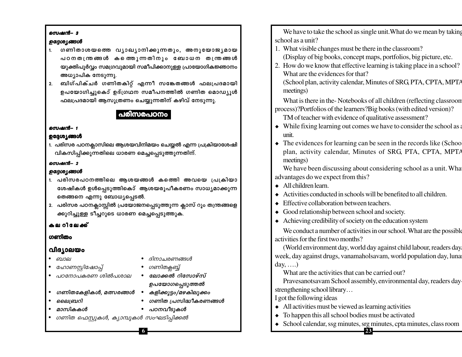#### സെഷൻ– 3

#### ഉദ്ദേശ്യങ്ങൾ

- ഗണിതാശയത്തെ വ്യാഖ്യാനിക്കുന്നതും, അനുയോജ്യമായ  $1.$ പഠനതന്ത്രങ്ങൾ കത്തെുന്നതിനും ബോധന തന്ത്രങ്ങൾ യുക്തിപൂർവ്വം സമഗ്രവുമായി സമീപിക്കാനുള്ള പ്രായോഗികജ്ഞാനം അധ്യാപിക നേടുന്നു.
- ബിഗ്പിക്ചർ ഗണിതകിറ്റ് എന്നീ സങ്കേതങ്ങൾ ഫലപ്രദമായി  $2.$ ഉപയോഗിച്ചുകൊ് ഉദ്ഗ്രഥന സമീപനത്തിൽ ഗണിത മൊഡ്യൂൾ ഫലപ്രദമായി ആസൂത്രണം ചെയ്യുന്നതിന് കഴിവ് നേടുന്നു.

### പരിസരപഠനം

### സെഷൻ– 1

### ഉദ്ദേശ്യങ്ങൾ

1. പരിസര പഠനക്ലാസിലെ ആശയവിനിമയം ചെയ്യൽ എന്ന പ്രക്രിയാശേഷി വികസിപ്പിക്കുന്നതിലെ ധാരണ മെച്ചപ്പെടുത്തുന്നതിന്.

### സെഷൻ– 2

### ഉദ്ദേശ്യങ്ങൾ

- 1. പരിസരപഠനത്തിലെ ആശയങ്ങൾ കത്തെി അവയെ പ്രക്രിയാ ശേഷികൾ ഉൾപ്പെടുത്തികൊ് ആശയരൂപീകരണം സാധ്യമാക്കുന്ന തെങ്ങനെ എന്നു ബോധ്യപ്പെടൽ.
- 2. പരിസര പഠനക്ലാസ്സിൽ പ്രയോജനപ്പെടുത്തുന്ന ക്ലാസ് റൂം തന്ത്രങ്ങളെ ക്കുറിച്ചുള്ള ടീച്ചറുടെ ധാരണ മെച്ചപ്പെടുത്തുക.

### കല റിലേക്ക്

### ഗണിതം

### വിദ്യാലയം

• ബാല

- ദിനാചരണങ്ങൾ
- ഹോണസ്റ്റിഷോപ്പ്
- പഠനോപകരണ ശിൽപശാല
- ഗണിതക്ലബ്ബ്
- ഗണിതകേളികൾ, മത്സരങ്ങൾ •
- ലൈബറി
- മാസികകൾ
- പഠനവീടുകൾ
- 
- ഗണിത ഫെസ്റ്റുകൾ, ക്യാമ്പുകൾ സംഘടിപ്പിക്കൽ

We have to take the school as single unit. What do we mean by taking school as a unit?

- 1. What visible changes must be there in the classroom?
	- (Display of big books, concept maps, portfolios, big picture, etc.
- 2. How do we know that effective learning is taking place in a school? What are the evidences for that?

(School plan, activity calendar, Minutes of SRG, PTA, CPTA, MPTA meetings)

What is there in the-Notebooks of all children (reflecting classroom process)?Portfolios of the learners?Big books (with edited version)?

- TM of teacher with evidence of qualitative assessment?
- $\bullet$  While fixing learning out comes we have to consider the school as a unit
- $\bullet$  The evidences for learning can be seen in the records like (Schoo plan, activity calendar, Minutes of SRG, PTA, CPTA, MPTA meetings)

We have been discussing about considering school as a unit. What advantages do we expect from this?

- $\bullet$  All children learn.
- Activities conducted in schools will be benefited to all children.  $\bullet$
- Effective collaboration between teachers.  $\bullet$
- Good relationship between school and society.
- $\bullet$  Achieving credibility of society on the education system

We conduct a number of activities in our school. What are the possible activities for the first two months?

(World environment day, world day against child labour, readers day, week, day against drugs, vanamaholsavam, world population day, luna day,  $\dots$ )

What are the activities that can be carried out?

Pravesanotsavam School assembly, environmental day, readers day strengthening school library...

I got the following ideas

- $\bullet$  All activities must be viewed as learning activities
- $\bullet$  To happen this all school bodies must be activated
- School calendar, ssg minutes, srg minutes, cpta minutes, class room  $-23-$
- ലോക്കൽ റിസോഴ്സ് ഉപയോഗപ്പെടുത്തൽ
- കളിക്കൂട്ടം/മഴകിലുക്കം
- ഗണിത പ്രസിദ്ധീകരണങ്ങൾ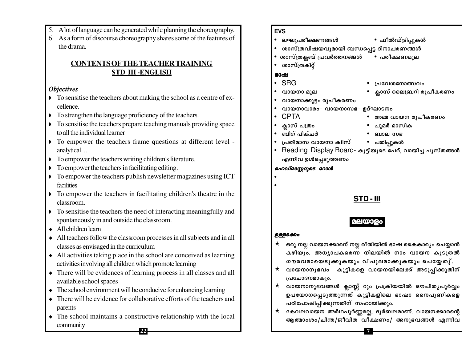- 5. A lot of language can be generated while planning the choreography.
- 6. As a form of discourse choreography shares some of the features of the drama.

### **CONTENTS OF THE TEACHER TRAINING STD III-ENGLISH**

### **Objectives**

- To sensitise the teachers about making the school as a centre of excellence.
- To strengthen the language proficiency of the teachers.
- To sensitise the teachers prepare teaching manuals providing space to all the individual learner
- To empower the teachers frame questions at different level analytical...
- To empower the teachers writing children's literature.
- To empower the teachers in facilitating editing.
- $\triangleright$  To empower the teachers publish newsletter magazines using ICT facilities
- To empower the teachers in facilitating children's theatre in the classroom.
- $\triangleright$  To sensitise the teachers the need of interacting meaningfully and spontaneously in and outside the classroom.
- $\triangle$  All children learn
- All teachers follow the classroom processes in all subjects and in all classes as envisaged in the curriculum
- $\bullet$  All activities taking place in the school are conceived as learning activities involving all children which promote learning
- There will be evidences of learning process in all classes and all available school spaces
- $\bullet$  The school environment will be conducive for enhancing learning
- There will be evidence for collaborative efforts of the teachers and parents
- $\bullet$  The school maintains a constructive relationship with the local community

### **EVS**

- ലഘുപരീക്ഷണങ്ങൾ
- ശാസ്ത്രവിഷയവുമായി ബന്ധപ്പെട്ട ദിനാചരണങ്ങൾ
	- ശാസ്ത്രക്ലബ് പ്രവർത്തനങ്ങൾ
- ശാസ്ത്രകിറ്റ്  $\bullet$

### ഭാഷ

 $\bullet$ 

- $\cdot$  SRG
- വായനാ മുല
- വായനാക്കൂട്ടം രൂപീകരണം
- വായനാവാരം– വായനാസഭ– ഉദ്ഘാടനം
- $\cdot$  CPTA
- 
- 
- പ്രതിമാസ വായനാ ക്വിസ്
- Reading Display Board- കുട്ടിയുടെ പേര്, വായിച്ച പുസ്തങ്ങൾ  $\bullet$ എന്നിവ ഉൾപ്പെടുത്തണം

### ഹെഡ്മാസ്റ്ററൂടെ റോൾ

### STD-III

### മലയാ

### **9885800**

- ഒരു നല്ല വായനക്കാരന് നല്ല രീതിയിൽ ഭാഷ കൈകാര്യം ചെയ്യാൻ  $\star$ കഴിയും. അധ്യാപകരെന്ന നിലയിൽ നാം വായന കുടുതൽ ഗൗരവമായെടുക്കുകയും വിപുലമാക്കുകയും ചെയ്യേതു്.
- വായനാനുഭവം കുട്ടികളെ വായനയിലേക്ക് അടുപ്പിക്കുതിന്  $\star$ പ്രചോദനമാകും.
- വായനാനുഭവങ്ങൾ ക്ലാസ്സ് റൂം പ്രക്രിയയിൽ ഔചിതൃപൂർവ്വം ഉപയോഗപ്പെടുത്തുന്നത് കുട്ടികളിലെ ഭാഷാ നൈപുണികളെ പരിപോഷിപ്പിക്കുന്നതിന് സഹായിക്കും.
- കേവലവായന അർഥപൂർണ്ണമല്ല, ദുർബലമാണ്. വായനക്കാരന്റെ  $\star$ ആത്മാംശം/ചിന്ത/ജീവിത വീക്ഷണം/ അനുഭവങ്ങൾ എന്നിവ

 $\overline{7}$ 

- ഫീൽഡ്ട്രിപ്പുകൾ
- പരീക്ഷണമുല

പ്രവേശനോത്സവം

ക്ലാസ് ലൈബ്രറി രൂപീകരണം

- അമ്മ വായന രൂപീകരണം
- 
- 
- ക്ലാസ് പത്രം
- ബിഗ് പിക്ചർ
- 
- ചുമർ മാസിക
	- ബാല സഭ
- പതിപ്പുകൾ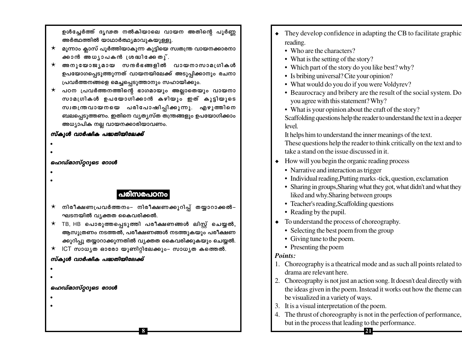ഉൾച്ചേർത്ത് ദൃഢത നൽകിയാലെ വായന അതിന്റെ പൂർണ്ണ അർത്ഥത്തിൽ യാഥാർത്ഥ്യമാവുകയുള്ളു.

- മൂന്നാം ക്ലാസ് പൂർത്തിയാകുന്ന കുട്ടിയെ സ്വതന്ത്ര വായനക്കാരനാ ക്കാൻ അധ്യാപകൻ ശ്രദ്ധിക്കേതു്.
- $\star$  അനുയോജ്യമായ സന്ദർഭങ്ങളിൽ വായനാസാമഗ്രികൾ ഉപയോഗപ്പെടുത്തുന്നത് വായനയിലേക്ക് അടുപ്പിക്കാനും രചനാ പ്രവർത്തനങ്ങളെ മെച്ചപ്പെടുത്താനും സഹായിക്കും.
- $\star$  പഠന പ്രവർത്തനത്തിന്റെ ഭാഗമായും അല്ലാതെയും വായനാ സാമഗ്രികൾ ഉപയോഗിക്കാൻ കഴിയും ഇത് കൂട്ടിയുടെ സ്വതന്ത്രവായനയെ പരിപോഷിപ്പിക്കുന്നു. എഴുത്തിനെ ബലപ്പെടുത്തണം. ഇതിനെ വ്യതൃസ്ത തന്ത്രങ്ങളും ഉപയോഗിക്കാം അധ്യാപിക നല്ല വായനക്കാരിയാവണം.

### സ്കൂൾ വാർഷിക പദ്ധതിയിലേക്ക്

- 
- 

### ഹെഡ്മാസ്റ്ററുടെ റോൾ

- 
- 

### പരിസരപഠനം

- നിരീക്ഷണപ്രവർത്തനം– നിരീക്ഷണക്കുറിപ്പ് തയ്യാറാക്കൽ–  $\star$ ഘടനയിൽ വ്യക്തത കൈവരിക്കൽ.
- $\star$  TB, HB പൊരുത്തപ്പെടുത്തി പരീക്ഷണങ്ങൾ ലിസ്റ്റ് ചെയ്യൽ, ആസൂത്രണം നടത്തൽ, പരീക്ഷണങ്ങൾ നടത്തുകയും പരീക്ഷണ ക്കുറിപ്പു തയ്യാറാക്കുന്നതിൽ വൃക്തത കൈവരിക്കുകയും ചെയ്യൽ.

8

 $\star$  ICT സാധ്യത ഓരോ യൂണിറ്റിലേക്കും– സാധ്യത കത്തെൽ.

### സ്കൂൾ വാർഷിക പദ്ധതിയിലേക്ക്

- 
- 

### ഹെഡ്മാസ്റ്ററുടെ റോൾ

- 
- 
- They develop confidence in adapting the CB to facilitate graphic reading.
	- Who are the characters?
	- What is the setting of the story?
	- Which part of the story do you like best? why?
	- Is bribing universal? Cite your opinion?
	- What would do you do if you were Voldyrev?
	- Beaurocracy and bribery are the result of the social system. Do you agree with this statement? Why?
	- What is your opinion about the craft of the story?

Scaffolding questions help the reader to understand the text in a deeper level.

It helps him to understand the inner meanings of the text. These questions help the reader to think critically on the text and to take a stand on the issue discussed in it.

- How will you begin the organic reading process
	- Narrative and interaction as trigger
	- Individual reading, Putting marks -tick, question, exclamation
	- Sharing in groups, Sharing what they got, what didn't and what they liked and why. Sharing between groups
	- Teacher's reading, Scaffolding questions
	- Reading by the pupil.
- To understand the process of choreography.
	- Selecting the best poem from the group
	- Giving tune to the poem.
	- Presenting the poem

### Points:

- 1. Choreography is a theatrical mode and as such all points related to drama are relevant here.
- 2. Choreography is not just an action song. It doesn't deal directly with the ideas given in the poem. Instead it works out how the theme can be visualized in a variety of ways.
- 3. It is a visual interpretation of the poem.
- 4. The thrust of choreography is not in the perfection of performance, but in the process that leading to the performance.

- 21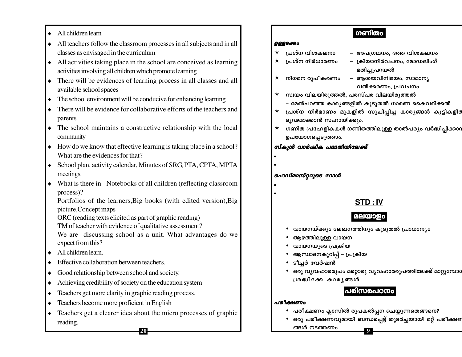- All children learn
- $\bullet$  All teachers follow the classroom processes in all subjects and in all classes as envisaged in the curriculum
- $\bullet$  All activities taking place in the school are conceived as learning activities involving all children which promote learning
- There will be evidences of learning process in all classes and all available school spaces
- $\bullet$  The school environment will be conducive for enhancing learning
- $\bullet$  There will be evidence for collaborative efforts of the teachers and parents
- The school maintains a constructive relationship with the local community
- $\bullet$  How do we know that effective learning is taking place in a school? What are the evidences for that?
- School plan, activity calendar, Minutes of SRG, PTA, CPTA, MPTA meetings.
- What is there in Notebooks of all children (reflecting classroom process)?

Portfolios of the learners, Big books (with edited version), Big picture, Concept maps

- ORC (reading texts elicited as part of graphic reading)
- TM of teacher with evidence of qualitative assessment?

We are discussing school as a unit. What advantages do we expect from this?

- $\triangleleft$  All children learn.
- Effective collaboration between teachers.
- Good relationship between school and society.
- Achieving credibility of society on the education system
- Teachers get more clarity in graphic reading process.
- Teachers become more proficient in English
- Teachers get a clearer idea about the micro processes of graphic reading.

20

### ഗണിതം

#### **ഉള്ളടക്കം**

- പ്രശ്ന വിശകലനം
- പ്രശ്ന നിർധാരണം
- $\star$ നിഗമന രുപീകരണം
- അപഗ്രഥനം, ദത്ത വിശകലനം
- ക്രിയാനിർവചനം, മോഡലിംഗ് മതിച്ചുപറയൽ
- ആശയവിനിമയം, സാമാനൃ വൽക്കരണം, പ്രവചനം

സ്വയം വിലയിരുത്തൽ, പരസ്പര വിലയിരുത്തൽ  $\star$ 

- മേൽപറഞ്ഞ കാര്യങ്ങളിൽ കൂടുതൽ ധാരണ കൈവരിക്കൽ
- $\star$ പ്രശ്ന നിർമാണം മുകളിൽ സൂചിപ്പിച്ച കാര്യങ്ങൾ കുട്ടികളിര ദൃഢമാക്കാൻ സഹായിക്കും.
- ഗണിത പ്രഹേളികകൾ ഗണിതത്തിലുള്ള താൽപര്യം വർദ്ധിപ്പിക്കാറ  $\star$ ഉപയോഗപ്പെടുത്താം.

### സ്കൂൾ വാർഷിക പദ്ധതിയിലേക്ക്

### ഹെഡ്മാസ്റ്ററുടെ റോൾ

## STD: IV

### മലയാളം

- വായനയ്ക്കും ലേഖനത്തിനും കൂടുതൽ പ്രാധാന്യം
- ആഴത്തിലുള്ള വായന
- വായനയുടെ പ്രക്രിയ
- ആസ്വാദനകുറിപ്പ് പ്രക്രിയ
- ടീചർ വേർഷൻ
- ∙ ഒരു വൃവഹാരരൂപം മറ്റൊരു വൃവഹാരരൂപത്തിലേക്ക് മാറ്റുമ്പോഗ ശ്രദ്ധിക്കേ കാര്യങ്ങൾ

### പരിസരപഠനം

### പരീക്ഷണം

- പരീക്ഷണം ക്ലാസിൽ രൂപകൽപ്പന ചെയ്യുന്നതെങ്ങനെ?
- ഒരു പരീക്ഷണവുമായി ബന്ധപ്പെട്ട് തുടർച്ചയായി മറ്റ് പരീക്ഷണ ങ്ങൾ നടത്തണം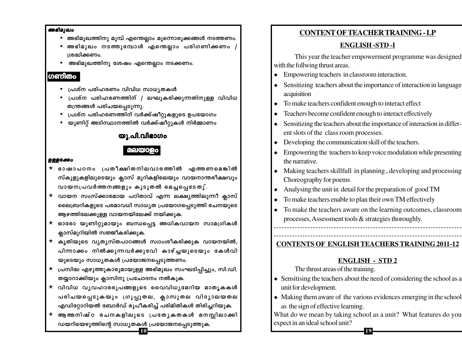#### അഭിമുഖം

- അഭിമുഖത്തിനു മുമ്പ് എന്തെല്ലാം മുന്നൊരുക്കങ്ങൾ നടത്തണം.
- അഭിമുഖം നടത്തുമ്പോൾ എന്തെല്ലാം പരിഗണിക്കണം ശ്രദ്ധിക്കണം.
- അഭിമുഖത്തിനു ശേഷം എന്തെല്ലാം നടക്കണം.

### ഗണിതം

- പ്രശ്ന പരിഹരണം വിവിധ സാധ്യതകൾ
- പ്രശ്ന പരിഹരണത്തിന് / ലഘൂകരിക്കുന്നതിനുള്ള വിവിധ തന്ത്രങ്ങൾ പരിചയപ്പെടുന്നു.
- പ്രശ്ന പരിഹരണത്തിന് വർക്ക്ഷീറ്റുകളുടെ ഉപയോഗം
- യൂണിറ്റ് അടിസ്ഥാനത്തിൽ വർക്ക്ഷീറ്റുകൾ നിർമ്മാണം

### യു.പി.വിഭാഗം

### മലയാ

#### **ഉള്ളടക്കം**

- $\star$  ഭാഷാപഠനം പ്രതീക്ഷിതനിലവാരത്തിൽ എത്തണമെങ്കിൽ സ്കൂളുകളിലൂടെയും ക്ലാസ് മുറികളിലെയും വായനാന്തരീക്ഷവും വായനപ്രവർത്തനങ്ങളും കൂടുതൽ മെച്ചപ്പെടേതു്.
- $\star$  വായന സംസ്ക്കാരമായ പഠിതാവ് എന്ന ലക്ഷ്യത്തിലൂന്നീ ക്ലാസ് ലൈബ്രറികളുടെ പരമാവധി സാധ്യത പ്രയോഗപ്പെടുത്തി രചനയുടെ ആഴത്തിലേക്കുള്ള വായനയിലേക്ക് നയിക്കുക.
- $\star$  ഓരോ യൂണിറ്റുമായും ബന്ധപ്പെട്ട അധികവായന സാമഗ്രികൾ ക്ലാസ്മുറിയിൽ സജ്ജീകരിക്കുക.
- $\star$  കൃതിയുടെ വൃതൃസ്തപാഠങ്ങൾ സ്വാംശീകരിക്കുക വായനയിൽ, പിന്നാക്കം നിൽക്കുന്നവർക്കുവ<mark>േ</mark>ി കാഴ്ച്ചയുടെയും കേൾവി യുടെയും സാധൃതകൾ പ്രയോജനപ്പെടുത്തണം.
- $\star$  (പസിദ്ധ എഴുത്തുകാരുമായുള്ള അഭിമുഖം സംഘടിപ്പിച്ചും, സി.ഡി. തയ്യാറാക്കിയും ക്ലാസിനു പ്രചോദനം നൽകുക.
- $\star$  വിവിധ വൃവഹാരരൂപങ്ങളുടെ വൈവിധൃമേറിയ മാതൃകകൾ പരിചയപ്പെടുകയും ഗ്രൂപ്പുതല, ക്ലാസുതല വിദൃാലയതല എഡിറ്റോറിയൽ ബോർഡ് രൂപീകരിച്ച് പരിമിതികൾ തിരിച്ചറിയുക.
- $\star$  ആത്മനിഷ്ഠ രചനകളിലുടെ പ്രത്യേകതകൾ മനസ്സിലാക്കി ഡയറിയെഴുത്തിന്റെ സാധ്യതകൾ പ്രയോജനപ്പെടുത്തുക.  $|10\rangle$

### **CONTENT OF TEACHER TRAINING - LP**

### **ENGLISH-STD-I**

This year the teacher empowerment programme was designed with the follwing thrust areas.

- Empowering teachers in classroom interaction.  $\blacklozenge$
- Sensitizing teachers about the importance of interaction in language acquisition
- To make teachers confident enough to interact effect  $\blacklozenge$
- Teachers become confident enough to interact effectively  $\bullet$
- Sensitizing the teachers about the importance of interaction in different slots of the class room processes.
- Developing the communication skill of the teachers.  $\blacklozenge$
- Empowering the teachers to keep voice modulation while presenting the narrative.
- Making teachers skillfull in planning, developing and processing Choreography for poems
- Analysing the unit in detail for the preparation of good TM  $\bullet$
- To make teachers enable to plan their own TM effectively  $\bullet$
- To make the teachers aware on the learning outcomes, classroom processes, Assessment tools & strategies thoroughly.

**CONTENTS OF ENGLISH TEACHERS TRAINING 2011-12** 

### **ENGLISH - STD 2**

The thrust areas of the training.

- Sensitising the teachers about the need of considering the school as a unit for development.
- $\bullet$  Making them aware of the various evidences emerging in the school as the sign of effective learning.

What do we mean by taking school as a unit? What features do you expect in an ideal school unit?

19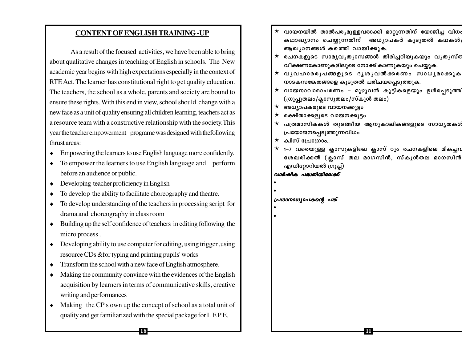### **CONTENT OF ENGLISH TRAINING -UP**

As a result of the focused activities, we have been able to bring about qualitative changes in teaching of English in schools. The New academic year begins with high expectations especially in the context of RTE Act. The learner has constitutional right to get quality education. The teachers, the school as a whole, parents and society are bound to ensure these rights. With this end in view, school should change with a new face as a unit of quality ensuring all children learning, teachers act as a resource team with a constructive relationship with the society. This year the teacher empowerment programe was designed with the following thrust areas:

- $\bullet$  Empowering the learners to use English language more confidently.
- $\bullet$  To empower the learners to use English language and perform before an audience or public.
- $\bullet$  Developing teacher proficiency in English
- To develop the ability to facilitate choreography and theatre.
- To develop understanding of the teachers in processing script for drama and choreography in class room
- $\bullet$  Building up the self confidence of teachers in editing following the micro process.
- $\bullet$  Developing ability to use computer for editing, using trigger, using resource CDs & for typing and printing pupils' works
- $\bullet$  Transform the school with a new face of English atmosphere.
- Making the community convince with the evidences of the English acquisition by learners in terms of communicative skills, creative writing and performances
- Making the CP s own up the concept of school as a total unit of quality and get familiarized with the special package for LEPE.

18

 $\star$  വായനയിൽ താൽപര്യമുള്ളവരാക്കി മാറ്റുന്നതിന് യോജിച്ച വിധം കഥാഖ്യാനം ചെയ്യുന്നതിന് അധ്യാപകർ കൂടുതൽ കഥകൾ, ആഖ്യാനങ്ങൾ കത്തിെ വായിക്കുക.  $\star$  രചനകളുടെ സാമൃവൃത്യാസങ്ങൾ തിരിച്ചറിയുകയും വൃതൃസ്ത വീക്ഷണകോണുകളിലൂടെ നോക്കികാണുകയും ചെയ്യുക.  $\star$  വൃവഹാരരൂപങ്ങളുടെ ദൃശൃവൽക്കരണം സാധൃമാക്കുക നാടകസങ്കേതങ്ങളെ കൂടുതൽ പരിചയപ്പെടുത്തുക.  $\star$  വായനാവാരാചരണം – മുഴുവൻ കുട്ടികളെയും ഉൾപ്പെടുത്തി (ഗ്രൂപ്പുതലം/ക്ലാസുതലം/സ്കൂൾ തലം)  $\star$  അധ്യാപകരുടെ വായനക്കൂട്ടം രക്ഷിതാക്കളുടെ വായനക്കൂട്ടം പത്രമാസികകൾ തുടങ്ങിയ ആനുകാലികങ്ങളുടെ സാധൃതകൾ പ്രയോജനപ്പെടുത്തുന്നവിധം  $\star$  ക്വിസ് പ്രോഗ്രാം..  $\star$  1–7 വരെയുള്ള ക്ലാസുകളിലെ ക്ലാസ് റൂം രചനകളിലെ മികച്ചവ ശേഖരിക്കൽ (ക്ലാസ് തല മാഗസിൻ, സ്കൂൾതല മാഗസിൻ എഡിറ്റോറിയൽ ഗ്രൂപ്പ്) വാർഷിക പദ്ധതിയിലേക്ക് പ്രധാനാധ്യാപകന്റെ പങ്ക് 11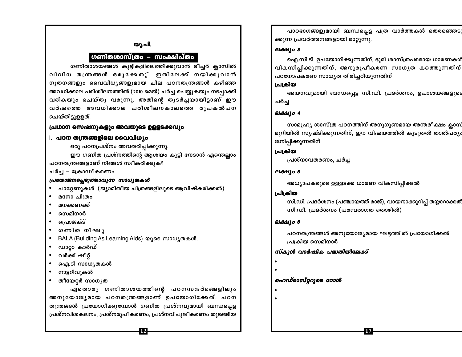#### യൂ.പി.

### ഗണിതശാസ്ത്രം – സംക്ഷിപ്**തം**

ഗണിതാശയങ്ങൾ കുട്ടികളിലെത്തിക്കുവാൻ ടീച്ചർ ക്ലാസിൽ വിവിധ തന്ത്രങ്ങൾ ഒരുക്കേതു്. ഇതിലേക്ക് നയിക്കുവാൻ നൂതനങ്ങളും വൈവിധ്യങ്ങളുമായ ചില പഠനതന്ത്രങ്ങൾ കഴിഞ്ഞ അവധിക്കാല പരിശീലനത്തിൽ (2010 മെയ്) ചർച്ച ചെയ്യുകയും നടപ്പാക്കി വരികയും ചെയ്തു വരുന്നു. അതിന്റെ തുടർച്ചയായിട്ടാണ് ഈ വർഷത്തെ അവധിക്കാല പരിശീലനകാലത്തെ രൂപകൽപന ചെയ്തിട്ടുളളത്.

#### പ്രധാന സെഷനുകളും അവയുടെ ഉളളടക്കവും

#### **1. പഠന തന്ത്രങ്ങളിലെ വൈവിധ്യം**

ഒരു പഠനപ്രശ്നം അവതരിപ്പിക്കുന്നു.

ഈ ഗണിത പ്രശ്നത്തിന്റെ ആശയം കുട്ടി നേടാൻ എന്തെല്ലാം പഠനതന്ത്രങ്ങളാണ് നിങ്ങൾ സ്വീകരിക്കുക?

ചർച്ച – ക്രോഡീകരണം

#### പ്രയോജനപ്പെടുത്താവുന്ന സാധ്യതകൾ

പാറ്റേണുകൾ (ജ്യാമിതീയ ചിത്രങ്ങളിലൂടെ ആവിഷ്കരിക്കൽ)

- മനോ ചിത്രം
- മനക്കണക്ക്
- സെമിനാർ
- வெலைக்
- ഗണിത നിഘു
- BALA (Building As Learning Aids) യുടെ സാധൃതകൾ.
- 
- 
- 
- 
- ഡാറ്റാ കാർഡ്
- 
- 
- 
- ∙ വർക്ക് ഷീറ്റ്
- ഐ.ടി സാധ്യതകൾ
- നാട്ടറിവുകൾ
- തീയേറ്റർ സാധ്യത

ഏതൊരു ഗണിതാശയത്തിന്റെ പഠനസന്ദർഭങ്ങളിലും അനുയോജൃമായ പഠനതന്ത്രങ്ങളാണ് ഉപയോഗിക്കേത്. പഠന തന്ത്രങ്ങൾ പ്രയോഗിക്കുമ്പോൾ ഗണിത പ്രശ്നവുമായി ബന്ധപ്പെട്ട പ്രശ്നവിശകലനം, പ്രശ്നരൂപീകരണം, പ്രശ്നവിപുലീകരണം തുടങ്ങിയ

പാഠഭാഗങ്ങളുമായി ബന്ധപ്പെട്ട പത്ര വാർത്തകൾ തെരഞ്ഞെടു ക്കുന്ന പ്രവർത്തനങ്ങളായി മാറ്റുന്നു.

#### ലക്ഷ്യം 3

ഐ.സി.ടി. ഉപയോഗിക്കുന്നതിന്, ഭൂമി ശാസ്ത്രപരമായ ധാരണകൾ വികസിപ്പിക്കുന്നതിന്, അനുരൂപീകരണ സാധ്യത കത്തെുന്നതിന് പഠനോപകരണ സാധ്യത തിരിച്ചറിയുന്നതിന്

#### പ്രക്രിയ

അയനവുമായി ബന്ധപ്പെട്ട സി.ഡി. പ്രദർശനം, ഉപാശയങ്ങളുടെ ചർച്ച

#### ലക്ഷ്യം 4

സാമൂഹ്യ ശാസ്ത്ര പഠനത്തിന് അനുഗുണമായ അന്തരീക്ഷം ക്ലാസ് മുറിയിൽ സൃഷ്ടിക്കുന്നതിന്, ഈ വിഷയത്തിൽ കൂടുതൽ താൽപര്യം ജനിപ്പിക്കുന്നതിന്

#### പ്രക്രിയ

പ്രശ്നാവതരണം, ചർച്ച

#### ലക്ഷ്യം 5

അധ്യാപകരുടെ ഉള്ളടക്ക ധാരണ വികസിപ്പിക്കൽ

#### പ്രിക്രിയ

സി.ഡി. പ്രദർശനം (പഞ്ചായത്ത് രാജ്), വായനാക്കുറിപ്പ് തയ്യാറാക്കൽ സി.ഡി. പ്രദർശനം (പരമ്പരാഗത തൊഴിൽ)

### ലക്ഷ്യം 6

പഠനതന്ത്രങ്ങൾ അനുയോജ്യമായ ഘട്ടത്തിൽ പ്രയോഗിക്കൽ പ്രക്രിയ സെമിനാർ

17

### സ്കൂൾ വാർഷിക പദ്ധതിയിലേക്ക്

- -

### ഹെഡ്മാസ്റ്ററൂടെ റോൾ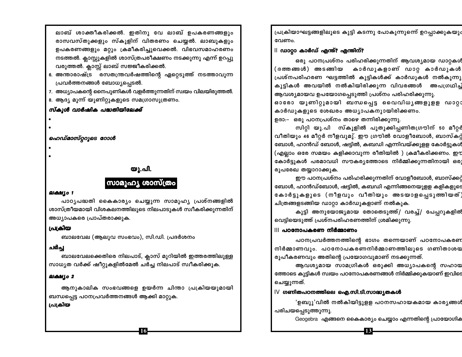ലാബ് ശാക്തീകരിക്കൽ. ഇതിനു വേ ലാബ് ഉപകരണങ്ങളും രാസവസ്തുക്കളും സ്കൂളിന് വിതരണം ചെയ്യൽ. ലാബുകളും ഉപകരണങ്ങളും മറ്റും ക്രമീകരിച്ചുവെക്കൽ. വിഭവസമാഹരണം നടത്തൽ. ക്ലാസ്സുകളിൽ ശാസ്ത്രപരീക്ഷണം നടക്കുന്നു എന്ന് ഉറപ്പു വരുത്തൽ. ക്ലാസ്സ് ലാബ് സജ്ജീകരിക്കൽ.

- 6. അന്താരാഷ്ട്ര രസതന്ത്രവർഷത്തിന്റെ ഏറ്റെടുത്ത് നടത്താവുന്ന പ്രവർത്തനങ്ങൾ ബോധ്യപ്പെടൽ.
- 7. അധ്യാപകന്റെ നൈപുണികൾ വളർത്തുന്നതിന് സ്വയം വിലയിരുത്തൽ.
- 8. ആദ്യ മൂന്ന് യൂണിറ്റുകളുടെ സമഗ്രാസൂത്രണം.

#### സ്കൂൾ വാർഷിക പദ്ധതിയിലേക്ക്

- 
- 

### ഹെഡ്മാസ്റ്ററുടെ റോൾ

### യു.പി.

### സാമൂഹ്യ ശാസ്ത്രം

#### ലക്ഷ്യം 1

പാഠൃപദ്ധതി കൈകാര്യം ചെയ്യുന്ന സാമൂഹ്യ പ്രശ്നങ്ങളിൽ ശാസ്ത്രീയമായി വിശകലനത്തിലൂടെ നിലപാടുകൾ സ്വീകരിക്കുന്നതിന് അധ്യാപകരെ പ്രാപ്തരാക്കുക.

### പ്രക്രിയ

ബാലവേല (ആലുവ സംഭവം), സി.ഡി. പ്രദർശനം

### ചർച്ച

ബാലവേലക്കെതിരെ നിലപാട്, ക്ലാസ് മുറിയിൽ ഇത്തരത്തിലുള്ള സാധ്യത വർക്ക് ഷീറ്റുകളിൽമേൽ ചർച്ച നിലപാട് സ്വീകരിക്കുക.

#### ലക്ഷ്യം 2

ആനുകാലിക സംഭവങ്ങളെ ഉയർന്ന ചിന്താ പ്രക്രിയയുമായി ബന്ധപ്പെട്ട പഠനപ്രവർത്തനങ്ങൾ ആക്കി മാറ്റുക.

**16** 

### പ്രക്രിയ

പ്രക്രിയാഘട്ടങ്ങളിലൂടെ കുട്ടി കടന്നു പോകുന്നുന്നെ് ഉറപ്പാക്കുകയും വേണം.

### $\parallel$  ഡാറ്റാ കാർഡ് എന്ത്? എന്തിന്?

ഒരു പഠനപ്രശ്നം പരിഹരിക്കുന്നതിന് ആവശ്യമായ ഡാറ്റകൾ .<br>(ദത്തങ്ങൾ) അടങ്ങിയ കാർഡുകളാണ് ഡാറ്റ കാർഡുകൾ പ്രശ്നപരിഹരണ ഘട്ടത്തിൽ കുട്ടികൾക്ക് കാർഡുകൾ നൽകുന്നു കുട്ടികൾ അവയിൽ നൽകിയിരിക്കുന്ന വിവരങ്ങൾ അപഗ്രഥിച് ആവശ്യമായവ ഉപയോഗപ്പെടുത്തി പ്രശ്നം പരിഹരിക്കുന്നു.

ഓരോ യൂണിറ്റുമായി ബന്ധപ്പെട്ട വൈവിധ്യങ്ങളുളള ഡാറ്റ: കാർഡുകളുടെ ശേഖരം അധ്യാപകനുായിരിക്കണം.

ഉദാ:– ഒരു പഠനപ്രശ്നം താഴെ തന്നിരിക്കുന്നു.

സിറ്റി യു.പി സ്കൂളിൽ പുതുക്കിപ്പണിതഗ്രൗിന് 50 മീറ്റർ വീതിയും 46 മീറ്റർ നീളവുമു്. ഈ ഗ്രൗിൽ വോളീബോൾ, ബാസ്കറ്റ് ബോൾ, ഹാൻഡ് ബോൾ, ഷട്ടിൽ, കബഡി എന്നിവയ്ക്കുളള കോർട്ടുകൾ (എല്ലാം ഒരേ സമയം കളിക്കാവുന്ന രീതിയിൽ ) ക്രമീകരിക്കണം. ഇമ കോർട്ടുകൾ പരമാവധി സൗകര്യത്തോടെ നിർമ്മിക്കുന്നതിനായി ഒരു രൂപരേഖ തയ്യാറാക്കുക.

ഈ പഠനപ്രശ്നം പരിഹരിക്കുന്നതിന് വോളീബോൾ, ബാസ്ക്കറ്റ് ബോൾ, ഹാൻഡ്ബോൾ, ഷട്ടിൽ, കബഡി എന്നിങ്ങനെയുളള കളികളുടെ കോർട്ടുകളുടെ (നീളവും വീതിയും അടയാളപ്പെടുത്തിയത്) ചിത്രങ്ങളടങ്ങിയ ഡാറ്റാ കാർഡുകളാണ് നൽകുക.

കുട്ടി അനുയോജ്യമായ തോതെടുത്ത്/ വരച്ച്/ പേപ്പറുകളിൽ വെട്ടിയെടുത്ത് പ്രശ്നപരിഹരണത്തിന് ശ്രമിക്കുന്നു.

#### ||| പഠനോപകരണ നിർമ്മാണം

പഠനപ്രവർത്തനത്തിന്റെ ഭാഗം തന്നെയാണ് പഠനോപകരണ നിർമ്മാണവും. പഠനോപകരണനിർമ്മാണത്തിലൂടെ ഗണിതാശയ രൂപീകരണവും അതിന്റെ പ്രയോഗവുമാണ് നടക്കുന്നത്.

ആവശ്യമായ സാമഗ്രികൾ ഒരുക്കി അധ്യാപകന്റെ സഹായ ത്തോടെ കുട്ടികൾ സ്വയം പഠനോപകരണങ്ങൾ നിർമ്മിക്കുകയാണ് ഇവിടെ ചെയ്യുന്നത്.

### $\mathsf{I}\mathsf{V}\;$  ഗണിതപഠനത്തിലെ ഐ.സി.ടി.സാദ്ധ്യതകൾ

'ഉബുു'വിൽ നൽകിയിട്ടുളള പഠനസഹായകമായ കാര്യങ്ങൾ പരിചയപ്പെടുത്തുന്നു.

: 13

Geogebra എങ്ങനെ കൈകാര്യം ചെയ്യാം എന്നതിന്റെ പ്രായോഗിക